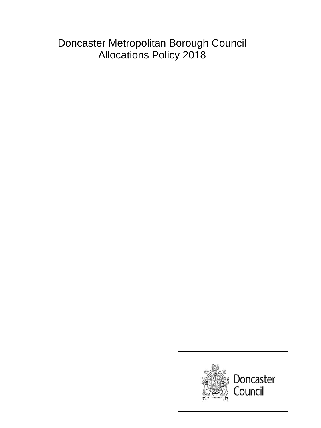Doncaster Metropolitan Borough Council Allocations Policy 2018

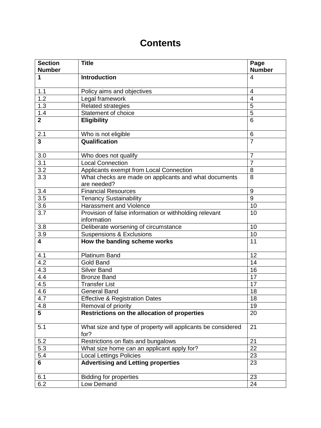# **Contents**

| <b>Introduction</b><br>1<br>$\overline{4}$<br>1.1<br>Policy aims and objectives<br>$\overline{4}$<br>1.2<br>Legal framework<br>$\overline{4}$<br>$\overline{5}$<br>1.3<br><b>Related strategies</b><br>$\overline{5}$<br>$1.4$<br>Statement of choice<br>$\overline{2}$<br><b>Eligibility</b><br>$6\phantom{1}6$<br>2.1<br>Who is not eligible<br>6<br>$\overline{\mathbf{3}}$<br>Qualification<br>$\overline{7}$<br>3.0<br>$\overline{7}$<br>Who does not qualify<br>3.1<br><b>Local Connection</b><br>$\overline{7}$<br>$\overline{3.2}$<br>Applicants exempt from Local Connection<br>8<br>3.3<br>8<br>What checks are made on applicants and what documents<br>are needed?<br>3.4<br><b>Financial Resources</b><br>9<br>$\overline{3.5}$<br>9<br><b>Tenancy Sustainability</b><br>3.6<br>Harassment and Violence<br>10<br>3.7<br>Provision of false information or withholding relevant<br>10<br>information<br>3.8<br>Deliberate worsening of circumstance<br>10<br>3.9<br><b>Suspensions &amp; Exclusions</b><br>10<br>$\overline{\mathbf{4}}$<br>How the banding scheme works<br>11<br><b>Platinum Band</b><br>4.1<br>12<br>4.2<br><b>Gold Band</b><br>14<br>4.3<br><b>Silver Band</b><br>16<br>4.4<br><b>Bronze Band</b><br>17<br>4.5<br>17<br><b>Transfer List</b><br>4.6<br>18<br><b>General Band</b><br>4.7<br><b>Effective &amp; Registration Dates</b><br>18<br>4.8<br>Removal of priority<br>19<br>Restrictions on the allocation of properties<br>5<br>20<br>What size and type of property will applicants be considered<br>5.1<br>21<br>for?<br>Restrictions on flats and bungalows<br>5.2<br>21<br>5.3<br>What size home can an applicant apply for?<br>22<br>5.4<br><b>Local Lettings Policies</b><br>23<br><b>Advertising and Letting properties</b><br>$6\phantom{1}$<br>23<br><b>Bidding for properties</b><br>6.1<br>23<br>6.2<br>Low Demand<br>24 | <b>Section</b><br><b>Number</b> | <b>Title</b> | Page<br><b>Number</b> |
|---------------------------------------------------------------------------------------------------------------------------------------------------------------------------------------------------------------------------------------------------------------------------------------------------------------------------------------------------------------------------------------------------------------------------------------------------------------------------------------------------------------------------------------------------------------------------------------------------------------------------------------------------------------------------------------------------------------------------------------------------------------------------------------------------------------------------------------------------------------------------------------------------------------------------------------------------------------------------------------------------------------------------------------------------------------------------------------------------------------------------------------------------------------------------------------------------------------------------------------------------------------------------------------------------------------------------------------------------------------------------------------------------------------------------------------------------------------------------------------------------------------------------------------------------------------------------------------------------------------------------------------------------------------------------------------------------------------------------------------------------------------------------------------------------------------------------------------------------------------------------|---------------------------------|--------------|-----------------------|
|                                                                                                                                                                                                                                                                                                                                                                                                                                                                                                                                                                                                                                                                                                                                                                                                                                                                                                                                                                                                                                                                                                                                                                                                                                                                                                                                                                                                                                                                                                                                                                                                                                                                                                                                                                                                                                                                           |                                 |              |                       |
|                                                                                                                                                                                                                                                                                                                                                                                                                                                                                                                                                                                                                                                                                                                                                                                                                                                                                                                                                                                                                                                                                                                                                                                                                                                                                                                                                                                                                                                                                                                                                                                                                                                                                                                                                                                                                                                                           |                                 |              |                       |
|                                                                                                                                                                                                                                                                                                                                                                                                                                                                                                                                                                                                                                                                                                                                                                                                                                                                                                                                                                                                                                                                                                                                                                                                                                                                                                                                                                                                                                                                                                                                                                                                                                                                                                                                                                                                                                                                           |                                 |              |                       |
|                                                                                                                                                                                                                                                                                                                                                                                                                                                                                                                                                                                                                                                                                                                                                                                                                                                                                                                                                                                                                                                                                                                                                                                                                                                                                                                                                                                                                                                                                                                                                                                                                                                                                                                                                                                                                                                                           |                                 |              |                       |
|                                                                                                                                                                                                                                                                                                                                                                                                                                                                                                                                                                                                                                                                                                                                                                                                                                                                                                                                                                                                                                                                                                                                                                                                                                                                                                                                                                                                                                                                                                                                                                                                                                                                                                                                                                                                                                                                           |                                 |              |                       |
|                                                                                                                                                                                                                                                                                                                                                                                                                                                                                                                                                                                                                                                                                                                                                                                                                                                                                                                                                                                                                                                                                                                                                                                                                                                                                                                                                                                                                                                                                                                                                                                                                                                                                                                                                                                                                                                                           |                                 |              |                       |
|                                                                                                                                                                                                                                                                                                                                                                                                                                                                                                                                                                                                                                                                                                                                                                                                                                                                                                                                                                                                                                                                                                                                                                                                                                                                                                                                                                                                                                                                                                                                                                                                                                                                                                                                                                                                                                                                           |                                 |              |                       |
|                                                                                                                                                                                                                                                                                                                                                                                                                                                                                                                                                                                                                                                                                                                                                                                                                                                                                                                                                                                                                                                                                                                                                                                                                                                                                                                                                                                                                                                                                                                                                                                                                                                                                                                                                                                                                                                                           |                                 |              |                       |
|                                                                                                                                                                                                                                                                                                                                                                                                                                                                                                                                                                                                                                                                                                                                                                                                                                                                                                                                                                                                                                                                                                                                                                                                                                                                                                                                                                                                                                                                                                                                                                                                                                                                                                                                                                                                                                                                           |                                 |              |                       |
|                                                                                                                                                                                                                                                                                                                                                                                                                                                                                                                                                                                                                                                                                                                                                                                                                                                                                                                                                                                                                                                                                                                                                                                                                                                                                                                                                                                                                                                                                                                                                                                                                                                                                                                                                                                                                                                                           |                                 |              |                       |
|                                                                                                                                                                                                                                                                                                                                                                                                                                                                                                                                                                                                                                                                                                                                                                                                                                                                                                                                                                                                                                                                                                                                                                                                                                                                                                                                                                                                                                                                                                                                                                                                                                                                                                                                                                                                                                                                           |                                 |              |                       |
|                                                                                                                                                                                                                                                                                                                                                                                                                                                                                                                                                                                                                                                                                                                                                                                                                                                                                                                                                                                                                                                                                                                                                                                                                                                                                                                                                                                                                                                                                                                                                                                                                                                                                                                                                                                                                                                                           |                                 |              |                       |
|                                                                                                                                                                                                                                                                                                                                                                                                                                                                                                                                                                                                                                                                                                                                                                                                                                                                                                                                                                                                                                                                                                                                                                                                                                                                                                                                                                                                                                                                                                                                                                                                                                                                                                                                                                                                                                                                           |                                 |              |                       |
|                                                                                                                                                                                                                                                                                                                                                                                                                                                                                                                                                                                                                                                                                                                                                                                                                                                                                                                                                                                                                                                                                                                                                                                                                                                                                                                                                                                                                                                                                                                                                                                                                                                                                                                                                                                                                                                                           |                                 |              |                       |
|                                                                                                                                                                                                                                                                                                                                                                                                                                                                                                                                                                                                                                                                                                                                                                                                                                                                                                                                                                                                                                                                                                                                                                                                                                                                                                                                                                                                                                                                                                                                                                                                                                                                                                                                                                                                                                                                           |                                 |              |                       |
|                                                                                                                                                                                                                                                                                                                                                                                                                                                                                                                                                                                                                                                                                                                                                                                                                                                                                                                                                                                                                                                                                                                                                                                                                                                                                                                                                                                                                                                                                                                                                                                                                                                                                                                                                                                                                                                                           |                                 |              |                       |
|                                                                                                                                                                                                                                                                                                                                                                                                                                                                                                                                                                                                                                                                                                                                                                                                                                                                                                                                                                                                                                                                                                                                                                                                                                                                                                                                                                                                                                                                                                                                                                                                                                                                                                                                                                                                                                                                           |                                 |              |                       |
|                                                                                                                                                                                                                                                                                                                                                                                                                                                                                                                                                                                                                                                                                                                                                                                                                                                                                                                                                                                                                                                                                                                                                                                                                                                                                                                                                                                                                                                                                                                                                                                                                                                                                                                                                                                                                                                                           |                                 |              |                       |
|                                                                                                                                                                                                                                                                                                                                                                                                                                                                                                                                                                                                                                                                                                                                                                                                                                                                                                                                                                                                                                                                                                                                                                                                                                                                                                                                                                                                                                                                                                                                                                                                                                                                                                                                                                                                                                                                           |                                 |              |                       |
|                                                                                                                                                                                                                                                                                                                                                                                                                                                                                                                                                                                                                                                                                                                                                                                                                                                                                                                                                                                                                                                                                                                                                                                                                                                                                                                                                                                                                                                                                                                                                                                                                                                                                                                                                                                                                                                                           |                                 |              |                       |
|                                                                                                                                                                                                                                                                                                                                                                                                                                                                                                                                                                                                                                                                                                                                                                                                                                                                                                                                                                                                                                                                                                                                                                                                                                                                                                                                                                                                                                                                                                                                                                                                                                                                                                                                                                                                                                                                           |                                 |              |                       |
|                                                                                                                                                                                                                                                                                                                                                                                                                                                                                                                                                                                                                                                                                                                                                                                                                                                                                                                                                                                                                                                                                                                                                                                                                                                                                                                                                                                                                                                                                                                                                                                                                                                                                                                                                                                                                                                                           |                                 |              |                       |
|                                                                                                                                                                                                                                                                                                                                                                                                                                                                                                                                                                                                                                                                                                                                                                                                                                                                                                                                                                                                                                                                                                                                                                                                                                                                                                                                                                                                                                                                                                                                                                                                                                                                                                                                                                                                                                                                           |                                 |              |                       |
|                                                                                                                                                                                                                                                                                                                                                                                                                                                                                                                                                                                                                                                                                                                                                                                                                                                                                                                                                                                                                                                                                                                                                                                                                                                                                                                                                                                                                                                                                                                                                                                                                                                                                                                                                                                                                                                                           |                                 |              |                       |
|                                                                                                                                                                                                                                                                                                                                                                                                                                                                                                                                                                                                                                                                                                                                                                                                                                                                                                                                                                                                                                                                                                                                                                                                                                                                                                                                                                                                                                                                                                                                                                                                                                                                                                                                                                                                                                                                           |                                 |              |                       |
|                                                                                                                                                                                                                                                                                                                                                                                                                                                                                                                                                                                                                                                                                                                                                                                                                                                                                                                                                                                                                                                                                                                                                                                                                                                                                                                                                                                                                                                                                                                                                                                                                                                                                                                                                                                                                                                                           |                                 |              |                       |
|                                                                                                                                                                                                                                                                                                                                                                                                                                                                                                                                                                                                                                                                                                                                                                                                                                                                                                                                                                                                                                                                                                                                                                                                                                                                                                                                                                                                                                                                                                                                                                                                                                                                                                                                                                                                                                                                           |                                 |              |                       |
|                                                                                                                                                                                                                                                                                                                                                                                                                                                                                                                                                                                                                                                                                                                                                                                                                                                                                                                                                                                                                                                                                                                                                                                                                                                                                                                                                                                                                                                                                                                                                                                                                                                                                                                                                                                                                                                                           |                                 |              |                       |
|                                                                                                                                                                                                                                                                                                                                                                                                                                                                                                                                                                                                                                                                                                                                                                                                                                                                                                                                                                                                                                                                                                                                                                                                                                                                                                                                                                                                                                                                                                                                                                                                                                                                                                                                                                                                                                                                           |                                 |              |                       |
|                                                                                                                                                                                                                                                                                                                                                                                                                                                                                                                                                                                                                                                                                                                                                                                                                                                                                                                                                                                                                                                                                                                                                                                                                                                                                                                                                                                                                                                                                                                                                                                                                                                                                                                                                                                                                                                                           |                                 |              |                       |
|                                                                                                                                                                                                                                                                                                                                                                                                                                                                                                                                                                                                                                                                                                                                                                                                                                                                                                                                                                                                                                                                                                                                                                                                                                                                                                                                                                                                                                                                                                                                                                                                                                                                                                                                                                                                                                                                           |                                 |              |                       |
|                                                                                                                                                                                                                                                                                                                                                                                                                                                                                                                                                                                                                                                                                                                                                                                                                                                                                                                                                                                                                                                                                                                                                                                                                                                                                                                                                                                                                                                                                                                                                                                                                                                                                                                                                                                                                                                                           |                                 |              |                       |
|                                                                                                                                                                                                                                                                                                                                                                                                                                                                                                                                                                                                                                                                                                                                                                                                                                                                                                                                                                                                                                                                                                                                                                                                                                                                                                                                                                                                                                                                                                                                                                                                                                                                                                                                                                                                                                                                           |                                 |              |                       |
|                                                                                                                                                                                                                                                                                                                                                                                                                                                                                                                                                                                                                                                                                                                                                                                                                                                                                                                                                                                                                                                                                                                                                                                                                                                                                                                                                                                                                                                                                                                                                                                                                                                                                                                                                                                                                                                                           |                                 |              |                       |
|                                                                                                                                                                                                                                                                                                                                                                                                                                                                                                                                                                                                                                                                                                                                                                                                                                                                                                                                                                                                                                                                                                                                                                                                                                                                                                                                                                                                                                                                                                                                                                                                                                                                                                                                                                                                                                                                           |                                 |              |                       |
|                                                                                                                                                                                                                                                                                                                                                                                                                                                                                                                                                                                                                                                                                                                                                                                                                                                                                                                                                                                                                                                                                                                                                                                                                                                                                                                                                                                                                                                                                                                                                                                                                                                                                                                                                                                                                                                                           |                                 |              |                       |
|                                                                                                                                                                                                                                                                                                                                                                                                                                                                                                                                                                                                                                                                                                                                                                                                                                                                                                                                                                                                                                                                                                                                                                                                                                                                                                                                                                                                                                                                                                                                                                                                                                                                                                                                                                                                                                                                           |                                 |              |                       |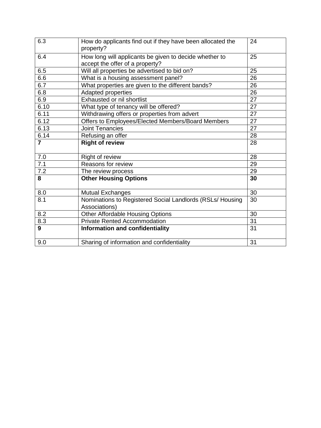| 6.3            | How do applicants find out if they have been allocated the<br>property?                   | 24 |
|----------------|-------------------------------------------------------------------------------------------|----|
| 6.4            | How long will applicants be given to decide whether to<br>accept the offer of a property? | 25 |
| 6.5            | Will all properties be advertised to bid on?                                              | 25 |
| 6.6            | What is a housing assessment panel?                                                       | 26 |
| 6.7            | What properties are given to the different bands?                                         | 26 |
| 6.8            | Adapted properties                                                                        | 26 |
| 6.9            | Exhausted or nil shortlist                                                                | 27 |
| 6.10           | What type of tenancy will be offered?                                                     | 27 |
| 6.11           | Withdrawing offers or properties from advert                                              | 27 |
| 6.12           | Offers to Employees/Elected Members/Board Members                                         | 27 |
| 6.13           | <b>Joint Tenancies</b>                                                                    | 27 |
| 6.14           | Refusing an offer                                                                         | 28 |
| $\overline{7}$ | <b>Right of review</b>                                                                    | 28 |
| 7.0            | Right of review                                                                           | 28 |
| 7.1            | Reasons for review                                                                        | 29 |
| 7.2            | The review process                                                                        | 29 |
| 8              | <b>Other Housing Options</b>                                                              | 30 |
| 8.0            | <b>Mutual Exchanges</b>                                                                   | 30 |
| 8.1            | Nominations to Registered Social Landlords (RSLs/ Housing<br>Associations)                | 30 |
| 8.2            | Other Affordable Housing Options                                                          | 30 |
| 8.3            | <b>Private Rented Accommodation</b>                                                       | 31 |
| 9              | Information and confidentiality                                                           | 31 |
| 9.0            | Sharing of information and confidentiality                                                | 31 |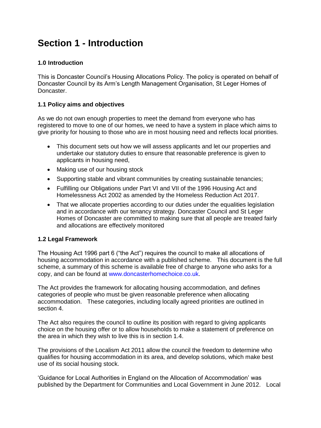# **Section 1 - Introduction**

## **1.0 Introduction**

This is Doncaster Council's Housing Allocations Policy. The policy is operated on behalf of Doncaster Council by its Arm's Length Management Organisation, St Leger Homes of Doncaster.

## **1.1 Policy aims and objectives**

As we do not own enough properties to meet the demand from everyone who has registered to move to one of our homes, we need to have a system in place which aims to give priority for housing to those who are in most housing need and reflects local priorities.

- This document sets out how we will assess applicants and let our properties and undertake our statutory duties to ensure that reasonable preference is given to applicants in housing need,
- Making use of our housing stock
- Supporting stable and vibrant communities by creating sustainable tenancies;
- Fulfilling our Obligations under Part VI and VII of the 1996 Housing Act and Homelessness Act 2002 as amended by the Homeless Reduction Act 2017.
- That we allocate properties according to our duties under the equalities legislation and in accordance with our tenancy strategy. Doncaster Council and St Leger Homes of Doncaster are committed to making sure that all people are treated fairly and allocations are effectively monitored

## **1.2 Legal Framework**

The Housing Act 1996 part 6 ("the Act") requires the council to make all allocations of housing accommodation in accordance with a published scheme. This document is the full scheme, a summary of this scheme is available free of charge to anyone who asks for a copy, and can be found at [www.doncasterhomechoice.co.uk.](http://www.doncasterhomechoice.co.uk/)

The Act provides the framework for allocating housing accommodation, and defines categories of people who must be given reasonable preference when allocating accommodation. These categories, including locally agreed priorities are outlined in section 4.

The Act also requires the council to outline its position with regard to giving applicants choice on the housing offer or to allow households to make a statement of preference on the area in which they wish to live this is in section 1.4.

The provisions of the Localism Act 2011 allow the council the freedom to determine who qualifies for housing accommodation in its area, and develop solutions, which make best use of its social housing stock.

'Guidance for Local Authorities in England on the Allocation of Accommodation' was published by the Department for Communities and Local Government in June 2012. Local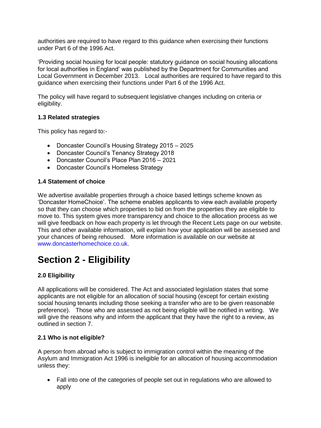authorities are required to have regard to this guidance when exercising their functions under Part 6 of the 1996 Act.

'Providing social housing for local people: statutory guidance on social housing allocations for local authorities in England' was published by the Department for Communities and Local Government in December 2013. Local authorities are required to have regard to this guidance when exercising their functions under Part 6 of the 1996 Act.

The policy will have regard to subsequent legislative changes including on criteria or eligibility.

## **1.3 Related strategies**

This policy has regard to:-

- Doncaster Council's Housing Strategy 2015 2025
- Doncaster Council's Tenancy Strategy 2018
- Doncaster Council's Place Plan 2016 2021
- Doncaster Council's Homeless Strategy

#### **1.4 Statement of choice**

We advertise available properties through a choice based lettings scheme known as 'Doncaster HomeChoice'. The scheme enables applicants to view each available property so that they can choose which properties to bid on from the properties they are eligible to move to. This system gives more transparency and choice to the allocation process as we will give feedback on how each property is let through the Recent Lets page on our website. This and other available information, will explain how your application will be assessed and your chances of being rehoused. More information is available on our website at [www.doncasterhomechoice.co.uk.](http://www.doncasterhomechoice.co.uk/)

# **Section 2 - Eligibility**

# **2.0 Eligibility**

All applications will be considered. The Act and associated legislation states that some applicants are not eligible for an allocation of social housing (except for certain existing social housing tenants including those seeking a transfer who are to be given reasonable preference). Those who are assessed as not being eligible will be notified in writing. We will give the reasons why and inform the applicant that they have the right to a review, as outlined in section 7.

## **2.1 Who is not eligible?**

A person from abroad who is subject to immigration control within the meaning of the Asylum and Immigration Act 1996 is ineligible for an allocation of housing accommodation unless they:

 Fall into one of the categories of people set out in regulations who are allowed to apply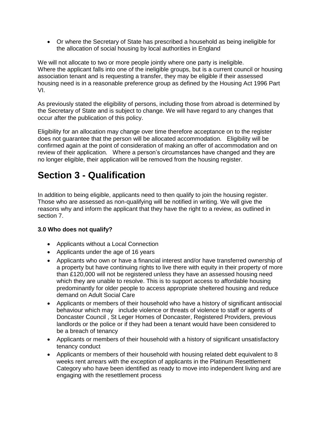Or where the Secretary of State has prescribed a household as being ineligible for the allocation of social housing by local authorities in England

We will not allocate to two or more people jointly where one party is ineligible. Where the applicant falls into one of the ineligible groups, but is a current council or housing association tenant and is requesting a transfer, they may be eligible if their assessed housing need is in a reasonable preference group as defined by the Housing Act 1996 Part VI.

As previously stated the eligibility of persons, including those from abroad is determined by the Secretary of State and is subject to change. We will have regard to any changes that occur after the publication of this policy.

Eligibility for an allocation may change over time therefore acceptance on to the register does not guarantee that the person will be allocated accommodation. Eligibility will be confirmed again at the point of consideration of making an offer of accommodation and on review of their application. Where a person's circumstances have changed and they are no longer eligible, their application will be removed from the housing register.

# **Section 3 - Qualification**

In addition to being eligible, applicants need to then qualify to join the housing register. Those who are assessed as non-qualifying will be notified in writing. We will give the reasons why and inform the applicant that they have the right to a review, as outlined in section 7.

# **3.0 Who does not qualify?**

- Applicants without a Local Connection
- Applicants under the age of 16 years
- Applicants who own or have a financial interest and/or have transferred ownership of a property but have continuing rights to live there with equity in their property of more than £120,000 will not be registered unless they have an assessed housing need which they are unable to resolve. This is to support access to affordable housing predominantly for older people to access appropriate sheltered housing and reduce demand on Adult Social Care
- Applicants or members of their household who have a history of significant antisocial behaviour which may include violence or threats of violence to staff or agents of Doncaster Council , St Leger Homes of Doncaster, Registered Providers, previous landlords or the police or if they had been a tenant would have been considered to be a breach of tenancy
- Applicants or members of their household with a history of significant unsatisfactory tenancy conduct
- Applicants or members of their household with housing related debt equivalent to 8 weeks rent arrears with the exception of applicants in the Platinum Resettlement Category who have been identified as ready to move into independent living and are engaging with the resettlement process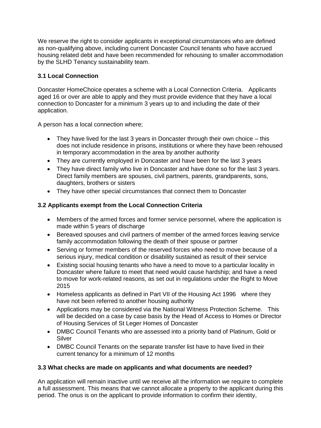We reserve the right to consider applicants in exceptional circumstances who are defined as non-qualifying above, including current Doncaster Council tenants who have accrued housing related debt and have been recommended for rehousing to smaller accommodation by the SLHD Tenancy sustainability team.

## **3.1 Local Connection**

Doncaster HomeChoice operates a scheme with a Local Connection Criteria. Applicants aged 16 or over are able to apply and they must provide evidence that they have a local connection to Doncaster for a minimum 3 years up to and including the date of their application.

A person has a local connection where;

- They have lived for the last 3 years in Doncaster through their own choice this does not include residence in prisons, institutions or where they have been rehoused in temporary accommodation in the area by another authority
- They are currently employed in Doncaster and have been for the last 3 years
- They have direct family who live in Doncaster and have done so for the last 3 years. Direct family members are spouses, civil partners, parents, grandparents, sons, daughters, brothers or sisters
- They have other special circumstances that connect them to Doncaster

# **3.2 Applicants exempt from the Local Connection Criteria**

- Members of the armed forces and former service personnel, where the application is made within 5 years of discharge
- Bereaved spouses and civil partners of member of the armed forces leaving service family accommodation following the death of their spouse or partner
- Serving or former members of the reserved forces who need to move because of a serious injury, medical condition or disability sustained as result of their service
- Existing social housing tenants who have a need to move to a particular locality in Doncaster where failure to meet that need would cause hardship; and have a need to move for work-related reasons, as set out in regulations under the Right to Move 2015
- Homeless applicants as defined in Part VII of the Housing Act 1996 where they have not been referred to another housing authority
- Applications may be considered via the National Witness Protection Scheme. This will be decided on a case by case basis by the Head of Access to Homes or Director of Housing Services of St Leger Homes of Doncaster
- DMBC Council Tenants who are assessed into a priority band of Platinum, Gold or Silver
- DMBC Council Tenants on the separate transfer list have to have lived in their current tenancy for a minimum of 12 months

# **3.3 What checks are made on applicants and what documents are needed?**

An application will remain inactive until we receive all the information we require to complete a full assessment. This means that we cannot allocate a property to the applicant during this period. The onus is on the applicant to provide information to confirm their identity,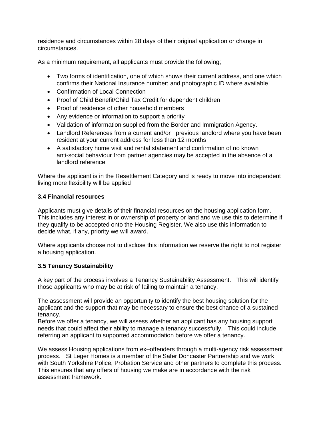residence and circumstances within 28 days of their original application or change in circumstances.

As a minimum requirement, all applicants must provide the following;

- Two forms of identification, one of which shows their current address, and one which confirms their National Insurance number; and photographic ID where available
- Confirmation of Local Connection
- Proof of Child Benefit/Child Tax Credit for dependent children
- Proof of residence of other household members
- Any evidence or information to support a priority
- Validation of information supplied from the Border and Immigration Agency.
- Landlord References from a current and/or previous landlord where you have been resident at your current address for less than 12 months
- A satisfactory home visit and rental statement and confirmation of no known anti-social behaviour from partner agencies may be accepted in the absence of a landlord reference

Where the applicant is in the Resettlement Category and is ready to move into independent living more flexibility will be applied

#### **3.4 Financial resources**

Applicants must give details of their financial resources on the housing application form. This includes any interest in or ownership of property or land and we use this to determine if they qualify to be accepted onto the Housing Register. We also use this information to decide what, if any, priority we will award.

Where applicants choose not to disclose this information we reserve the right to not register a housing application.

## **3.5 Tenancy Sustainability**

A key part of the process involves a Tenancy Sustainability Assessment. This will identify those applicants who may be at risk of failing to maintain a tenancy.

The assessment will provide an opportunity to identify the best housing solution for the applicant and the support that may be necessary to ensure the best chance of a sustained tenancy.

Before we offer a tenancy, we will assess whether an applicant has any housing support needs that could affect their ability to manage a tenancy successfully. This could include referring an applicant to supported accommodation before we offer a tenancy.

We assess Housing applications from ex–offenders through a multi-agency risk assessment process. St Leger Homes is a member of the Safer Doncaster Partnership and we work with South Yorkshire Police, Probation Service and other partners to complete this process. This ensures that any offers of housing we make are in accordance with the risk assessment framework.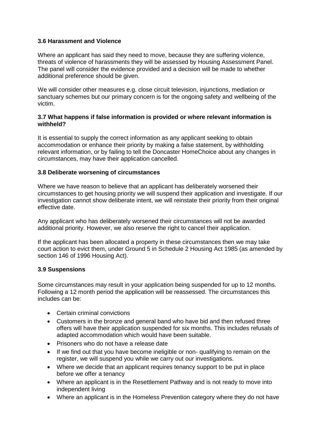## **3.6 Harassment and Violence**

Where an applicant has said they need to move, because they are suffering violence, threats of violence of harassments they will be assessed by Housing Assessment Panel. The panel will consider the evidence provided and a decision will be made to whether additional preference should be given.

We will consider other measures e.g. close circuit television, injunctions, mediation or sanctuary schemes but our primary concern is for the ongoing safety and wellbeing of the victim.

#### **3.7 What happens if false information is provided or where relevant information is withheld?**

It is essential to supply the correct information as any applicant seeking to obtain accommodation or enhance their priority by making a false statement, by withholding relevant information, or by failing to tell the Doncaster HomeChoice about any changes in circumstances, may have their application cancelled.

#### **3.8 Deliberate worsening of circumstances**

Where we have reason to believe that an applicant has deliberately worsened their circumstances to get housing priority we will suspend their application and investigate. If our investigation cannot show deliberate intent, we will reinstate their priority from their original effective date.

Any applicant who has deliberately worsened their circumstances will not be awarded additional priority. However, we also reserve the right to cancel their application.

If the applicant has been allocated a property in these circumstances then we may take court action to evict them, under Ground 5 in Schedule 2 Housing Act 1985 (as amended by section 146 of 1996 Housing Act).

#### **3.9 Suspensions**

Some circumstances may result in your application being suspended for up to 12 months. Following a 12 month period the application will be reassessed. The circumstances this includes can be:

- Certain criminal convictions
- Customers in the bronze and general band who have bid and then refused three offers will have their application suspended for six months. This includes refusals of adapted accommodation which would have been suitable.
- Prisoners who do not have a release date
- If we find out that you have become ineligible or non- qualifying to remain on the register, we will suspend you while we carry out our investigations.
- Where we decide that an applicant requires tenancy support to be put in place before we offer a tenancy
- Where an applicant is in the Resettlement Pathway and is not ready to move into independent living
- Where an applicant is in the Homeless Prevention category where they do not have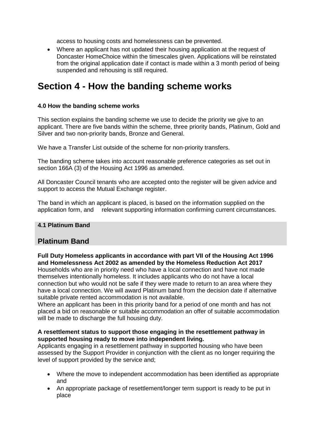access to housing costs and homelessness can be prevented.

 Where an applicant has not updated their housing application at the request of Doncaster HomeChoice within the timescales given. Applications will be reinstated from the original application date if contact is made within a 3 month period of being suspended and rehousing is still required.

# **Section 4 - How the banding scheme works**

## **4.0 How the banding scheme works**

This section explains the banding scheme we use to decide the priority we give to an applicant. There are five bands within the scheme, three priority bands, Platinum, Gold and Silver and two non-priority bands, Bronze and General.

We have a Transfer List outside of the scheme for non-priority transfers.

The banding scheme takes into account reasonable preference categories as set out in section 166A (3) of the Housing Act 1996 as amended.

All Doncaster Council tenants who are accepted onto the register will be given advice and support to access the Mutual Exchange register.

The band in which an applicant is placed, is based on the information supplied on the application form, and relevant supporting information confirming current circumstances.

## **4.1 Platinum Band**

# **Platinum Band**

**Full Duty Homeless applicants in accordance with part VII of the Housing Act 1996 and Homelessness Act 2002 as amended by the Homeless Reduction Act 2017** 

Households who are in priority need who have a local connection and have not made themselves intentionally homeless. It includes applicants who do not have a local connection but who would not be safe if they were made to return to an area where they have a local connection. We will award Platinum band from the decision date if alternative suitable private rented accommodation is not available.

Where an applicant has been in this priority band for a period of one month and has not placed a bid on reasonable or suitable accommodation an offer of suitable accommodation will be made to discharge the full housing duty.

#### **A resettlement status to support those engaging in the resettlement pathway in supported housing ready to move into independent living.**

Applicants engaging in a resettlement pathway in supported housing who have been assessed by the Support Provider in conjunction with the client as no longer requiring the level of support provided by the service and;

- Where the move to independent accommodation has been identified as appropriate and
- An appropriate package of resettlement/longer term support is ready to be put in place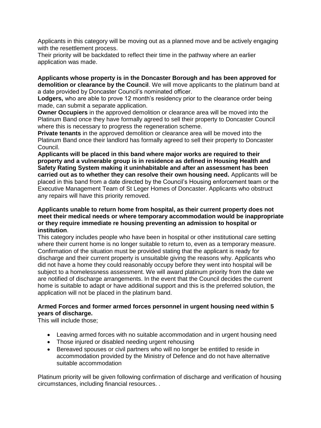Applicants in this category will be moving out as a planned move and be actively engaging with the resettlement process.

Their priority will be backdated to reflect their time in the pathway where an earlier application was made.

**Applicants whose property is in the Doncaster Borough and has been approved for demolition or clearance by the Council**. We will move applicants to the platinum band at a date provided by Doncaster Council's nominated officer.

**Lodgers,** who are able to prove 12 month's residency prior to the clearance order being made, can submit a separate application.

**Owner Occupiers** in the approved demolition or clearance area will be moved into the Platinum Band once they have formally agreed to sell their property to Doncaster Council where this is necessary to progress the regeneration scheme.

**Private tenants** in the approved demolition or clearance area will be moved into the Platinum Band once their landlord has formally agreed to sell their property to Doncaster Council.

**Applicants will be placed in this band where major works are required to their property and a vulnerable group is in residence as defined in Housing Health and Safety Rating System making it uninhabitable and after an assessment has been carried out as to whether they can resolve their own housing need.** Applicants will be placed in this band from a date directed by the Council's Housing enforcement team or the Executive Management Team of St Leger Homes of Doncaster. Applicants who obstruct any repairs will have this priority removed.

#### **Applicants unable to return home from hospital, as their current property does not meet their medical needs or where temporary accommodation would be inappropriate or they require immediate re housing preventing an admission to hospital or institution**.

This category includes people who have been in hospital or other institutional care setting where their current home is no longer suitable to return to, even as a temporary measure. Confirmation of the situation must be provided stating that the applicant is ready for discharge and their current property is unsuitable giving the reasons why. Applicants who did not have a home they could reasonably occupy before they went into hospital will be subject to a homelessness assessment. We will award platinum priority from the date we are notified of discharge arrangements. In the event that the Council decides the current home is suitable to adapt or have additional support and this is the preferred solution, the application will not be placed in the platinum band.

## **Armed Forces and former armed forces personnel in urgent housing need within 5 years of discharge.**

This will include those;

- Leaving armed forces with no suitable accommodation and in urgent housing need
- Those injured or disabled needing urgent rehousing
- Bereaved spouses or civil partners who will no longer be entitled to reside in accommodation provided by the Ministry of Defence and do not have alternative suitable accommodation

Platinum priority will be given following confirmation of discharge and verification of housing circumstances, including financial resources. .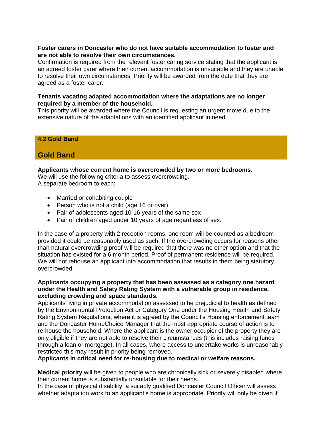#### **Foster carers in Doncaster who do not have suitable accommodation to foster and are not able to resolve their own circumstances.**

Confirmation is required from the relevant foster caring service stating that the applicant is an agreed foster carer where their current accommodation is unsuitable and they are unable to resolve their own circumstances. Priority will be awarded from the date that they are agreed as a foster carer.

#### **Tenants vacating adapted accommodation where the adaptations are no longer required by a member of the household.**

This priority will be awarded where the Council is requesting an urgent move due to the extensive nature of the adaptations with an identified applicant in need.

## **4.2 Gold Band**

# **Gold Band**

#### **Applicants whose current home is overcrowded by two or more bedrooms.**

We will use the following criteria to assess overcrowding. A separate bedroom to each:

- Married or cohabiting couple
- Person who is not a child (age 16 or over)
- Pair of adolescents aged 10-16 years of the same sex
- Pair of children aged under 10 years of age regardless of sex.

In the case of a property with 2 reception rooms, one room will be counted as a bedroom provided it could be reasonably used as such. If the overcrowding occurs for reasons other than natural overcrowding proof will be required that there was no other option and that the situation has existed for a 6 month period. Proof of permanent residence will be required. We will not rehouse an applicant into accommodation that results in them being statutory overcrowded.

#### **Applicants occupying a property that has been assessed as a category one hazard under the Health and Safety Rating System with a vulnerable group in residence, excluding crowding and space standards.**

Applicants living in private accommodation assessed to be prejudicial to health as defined by the Environmental Protection Act or Category One under the Housing Health and Safety Rating System Regulations, where it is agreed by the Council's Housing enforcement team and the Doncaster HomeChoice Manager that the most appropriate course of action is to re-house the household. Where the applicant is the owner occupier of the property they are only eligible if they are not able to resolve their circumstances (this includes raising funds through a loan or mortgage). In all cases, where access to undertake works is unreasonably restricted this may result in priority being removed.

#### **Applicants in critical need for re-housing due to medical or welfare reasons.**

**Medical priority** will be given to people who are chronically sick or severely disabled where their current home is substantially unsuitable for their needs.

In the case of physical disability, a suitably qualified Doncaster Council Officer will assess whether adaptation work to an applicant's home is appropriate. Priority will only be given if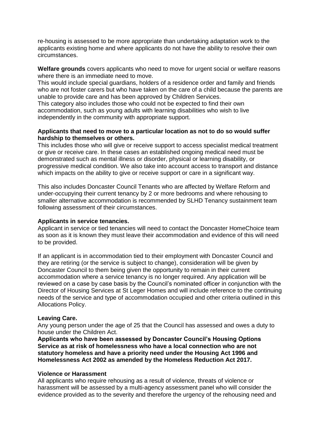re-housing is assessed to be more appropriate than undertaking adaptation work to the applicants existing home and where applicants do not have the ability to resolve their own circumstances.

**Welfare grounds** covers applicants who need to move for urgent social or welfare reasons where there is an immediate need to move.

This would include special guardians, holders of a residence order and family and friends who are not foster carers but who have taken on the care of a child because the parents are unable to provide care and has been approved by Children Services.

This category also includes those who could not be expected to find their own accommodation, such as young adults with learning disabilities who wish to live independently in the community with appropriate support.

#### **Applicants that need to move to a particular location as not to do so would suffer hardship to themselves or others.**

This includes those who will give or receive support to access specialist medical treatment or give or receive care. In these cases an established ongoing medical need must be demonstrated such as mental illness or disorder, physical or learning disability, or progressive medical condition. We also take into account access to transport and distance which impacts on the ability to give or receive support or care in a significant way.

This also includes Doncaster Council Tenants who are affected by Welfare Reform and under-occupying their current tenancy by 2 or more bedrooms and where rehousing to smaller alternative accommodation is recommended by SLHD Tenancy sustainment team following assessment of their circumstances.

#### **Applicants in service tenancies.**

Applicant in service or tied tenancies will need to contact the Doncaster HomeChoice team as soon as it is known they must leave their accommodation and evidence of this will need to be provided.

If an applicant is in accommodation tied to their employment with Doncaster Council and they are retiring (or the service is subject to change), consideration will be given by Doncaster Council to them being given the opportunity to remain in their current accommodation where a service tenancy is no longer required. Any application will be reviewed on a case by case basis by the Council's nominated officer in conjunction with the Director of Housing Services at St Leger Homes and will include reference to the continuing needs of the service and type of accommodation occupied and other criteria outlined in this Allocations Policy.

#### **Leaving Care.**

Any young person under the age of 25 that the Council has assessed and owes a duty to house under the Children Act.

**Applicants who have been assessed by Doncaster Council's Housing Options Service as at risk of homelessness who have a local connection who are not statutory homeless and have a priority need under the Housing Act 1996 and Homelessness Act 2002 as amended by the Homeless Reduction Act 2017.** 

#### **Violence or Harassment**

All applicants who require rehousing as a result of violence, threats of violence or harassment will be assessed by a multi-agency assessment panel who will consider the evidence provided as to the severity and therefore the urgency of the rehousing need and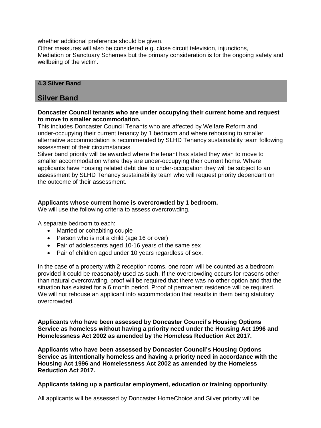whether additional preference should be given.

Other measures will also be considered e.g. close circuit television, injunctions, Mediation or Sanctuary Schemes but the primary consideration is for the ongoing safety and wellbeing of the victim.

## **4.3 Silver Band**

# **Silver Band**

#### **Doncaster Council tenants who are under occupying their current home and request to move to smaller accommodation.**

This includes Doncaster Council Tenants who are affected by Welfare Reform and under-occupying their current tenancy by 1 bedroom and where rehousing to smaller alternative accommodation is recommended by SLHD Tenancy sustainability team following assessment of their circumstances.

Silver band priority will be awarded where the tenant has stated they wish to move to smaller accommodation where they are under-occupying their current home. Where applicants have housing related debt due to under-occupation they will be subject to an assessment by SLHD Tenancy sustainability team who will request priority dependant on the outcome of their assessment.

#### **Applicants whose current home is overcrowded by 1 bedroom.**

We will use the following criteria to assess overcrowding.

A separate bedroom to each:

- Married or cohabiting couple
- Person who is not a child (age 16 or over)
- Pair of adolescents aged 10-16 years of the same sex
- Pair of children aged under 10 years regardless of sex.

In the case of a property with 2 reception rooms, one room will be counted as a bedroom provided it could be reasonably used as such. If the overcrowding occurs for reasons other than natural overcrowding, proof will be required that there was no other option and that the situation has existed for a 6 month period. Proof of permanent residence will be required. We will not rehouse an applicant into accommodation that results in them being statutory overcrowded.

**Applicants who have been assessed by Doncaster Council's Housing Options Service as homeless without having a priority need under the Housing Act 1996 and Homelessness Act 2002 as amended by the Homeless Reduction Act 2017.** 

**Applicants who have been assessed by Doncaster Council's Housing Options Service as intentionally homeless and having a priority need in accordance with the Housing Act 1996 and Homelessness Act 2002 as amended by the Homeless Reduction Act 2017.** 

**Applicants taking up a particular employment, education or training opportunity**.

All applicants will be assessed by Doncaster HomeChoice and Silver priority will be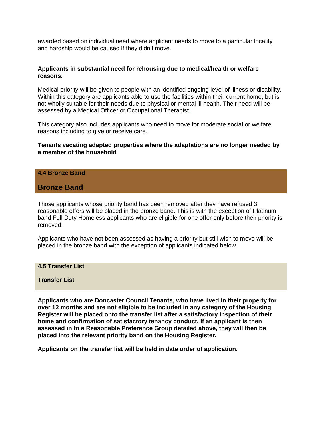awarded based on individual need where applicant needs to move to a particular locality and hardship would be caused if they didn't move.

#### **Applicants in substantial need for rehousing due to medical/health or welfare reasons.**

Medical priority will be given to people with an identified ongoing level of illness or disability. Within this category are applicants able to use the facilities within their current home, but is not wholly suitable for their needs due to physical or mental ill health. Their need will be assessed by a Medical Officer or Occupational Therapist.

This category also includes applicants who need to move for moderate social or welfare reasons including to give or receive care.

#### **Tenants vacating adapted properties where the adaptations are no longer needed by a member of the household**

#### **4.4 Bronze Band**

## **Bronze Band**

Those applicants whose priority band has been removed after they have refused 3 reasonable offers will be placed in the bronze band. This is with the exception of Platinum band Full Duty Homeless applicants who are eligible for one offer only before their priority is removed.

Applicants who have not been assessed as having a priority but still wish to move will be placed in the bronze band with the exception of applicants indicated below.

**4.5 Transfer List** 

#### **Transfer List**

**Applicants who are Doncaster Council Tenants, who have lived in their property for over 12 months and are not eligible to be included in any category of the Housing Register will be placed onto the transfer list after a satisfactory inspection of their home and confirmation of satisfactory tenancy conduct. If an applicant is then assessed in to a Reasonable Preference Group detailed above, they will then be placed into the relevant priority band on the Housing Register.** 

**Applicants on the transfer list will be held in date order of application.**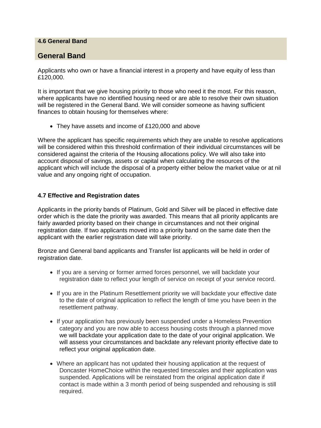## **4.6 General Band**

# **General Band**

Applicants who own or have a financial interest in a property and have equity of less than £120,000.

It is important that we give housing priority to those who need it the most. For this reason, where applicants have no identified housing need or are able to resolve their own situation will be registered in the General Band. We will consider someone as having sufficient finances to obtain housing for themselves where:

• They have assets and income of £120,000 and above

Where the applicant has specific requirements which they are unable to resolve applications will be considered within this threshold confirmation of their individual circumstances will be considered against the criteria of the Housing allocations policy. We will also take into account disposal of savings, assets or capital when calculating the resources of the applicant which will include the disposal of a property either below the market value or at nil value and any ongoing right of occupation.

## **4.7 Effective and Registration dates**

Applicants in the priority bands of Platinum, Gold and Silver will be placed in effective date order which is the date the priority was awarded. This means that all priority applicants are fairly awarded priority based on their change in circumstances and not their original registration date. If two applicants moved into a priority band on the same date then the applicant with the earlier registration date will take priority.

Bronze and General band applicants and Transfer list applicants will be held in order of registration date.

- If you are a serving or former armed forces personnel, we will backdate your registration date to reflect your length of service on receipt of your service record.
- If you are in the Platinum Resettlement priority we will backdate your effective date to the date of original application to reflect the length of time you have been in the resettlement pathway.
- If your application has previously been suspended under a Homeless Prevention category and you are now able to access housing costs through a planned move we will backdate your application date to the date of your original application. We will assess your circumstances and backdate any relevant priority effective date to reflect your original application date.
- Where an applicant has not updated their housing application at the request of Doncaster HomeChoice within the requested timescales and their application was suspended. Applications will be reinstated from the original application date if contact is made within a 3 month period of being suspended and rehousing is still required.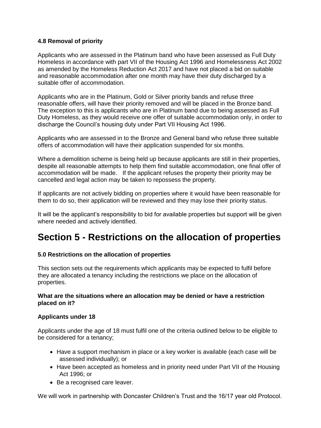## **4.8 Removal of priority**

Applicants who are assessed in the Platinum band who have been assessed as Full Duty Homeless in accordance with part VII of the Housing Act 1996 and Homelessness Act 2002 as amended by the Homeless Reduction Act 2017 and have not placed a bid on suitable and reasonable accommodation after one month may have their duty discharged by a suitable offer of accommodation.

Applicants who are in the Platinum, Gold or Silver priority bands and refuse three reasonable offers, will have their priority removed and will be placed in the Bronze band. The exception to this is applicants who are in Platinum band due to being assessed as Full Duty Homeless, as they would receive one offer of suitable accommodation only, in order to discharge the Council's housing duty under Part VII Housing Act 1996.

Applicants who are assessed in to the Bronze and General band who refuse three suitable offers of accommodation will have their application suspended for six months.

Where a demolition scheme is being held up because applicants are still in their properties, despite all reasonable attempts to help them find suitable accommodation, one final offer of accommodation will be made. If the applicant refuses the property their priority may be cancelled and legal action may be taken to repossess the property.

If applicants are not actively bidding on properties where it would have been reasonable for them to do so, their application will be reviewed and they may lose their priority status.

It will be the applicant's responsibility to bid for available properties but support will be given where needed and actively identified.

# **Section 5 - Restrictions on the allocation of properties**

## **5.0 Restrictions on the allocation of properties**

This section sets out the requirements which applicants may be expected to fulfil before they are allocated a tenancy including the restrictions we place on the allocation of properties.

#### **What are the situations where an allocation may be denied or have a restriction placed on it?**

## **Applicants under 18**

Applicants under the age of 18 must fulfil one of the criteria outlined below to be eligible to be considered for a tenancy;

- Have a support mechanism in place or a key worker is available (each case will be assessed individually); or
- Have been accepted as homeless and in priority need under Part VII of the Housing Act 1996; or
- Be a recognised care leaver.

We will work in partnership with Doncaster Children's Trust and the 16/17 year old Protocol.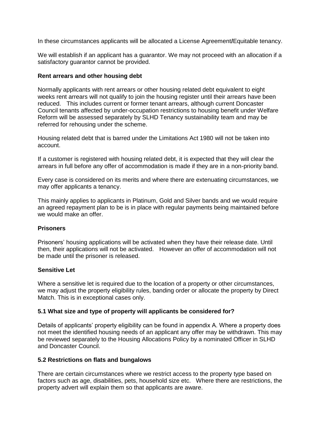In these circumstances applicants will be allocated a License Agreement**/**Equitable tenancy.

We will establish if an applicant has a guarantor. We may not proceed with an allocation if a satisfactory guarantor cannot be provided.

#### **Rent arrears and other housing debt**

Normally applicants with rent arrears or other housing related debt equivalent to eight weeks rent arrears will not qualify to join the housing register until their arrears have been reduced. This includes current or former tenant arrears, although current Doncaster Council tenants affected by under-occupation restrictions to housing benefit under Welfare Reform will be assessed separately by SLHD Tenancy sustainability team and may be referred for rehousing under the scheme.

Housing related debt that is barred under the Limitations Act 1980 will not be taken into account.

If a customer is registered with housing related debt, it is expected that they will clear the arrears in full before any offer of accommodation is made if they are in a non-priority band.

Every case is considered on its merits and where there are extenuating circumstances, we may offer applicants a tenancy.

This mainly applies to applicants in Platinum, Gold and Silver bands and we would require an agreed repayment plan to be is in place with regular payments being maintained before we would make an offer.

## **Prisoners**

Prisoners' housing applications will be activated when they have their release date. Until then, their applications will not be activated. However an offer of accommodation will not be made until the prisoner is released.

#### **Sensitive Let**

Where a sensitive let is required due to the location of a property or other circumstances, we may adjust the property eligibility rules, banding order or allocate the property by Direct Match. This is in exceptional cases only.

## **5.1 What size and type of property will applicants be considered for?**

Details of applicants' property eligibility can be found in appendix A. Where a property does not meet the identified housing needs of an applicant any offer may be withdrawn. This may be reviewed separately to the Housing Allocations Policy by a nominated Officer in SLHD and Doncaster Council.

#### **5.2 Restrictions on flats and bungalows**

There are certain circumstances where we restrict access to the property type based on factors such as age, disabilities, pets, household size etc.Where there are restrictions, the property advert will explain them so that applicants are aware.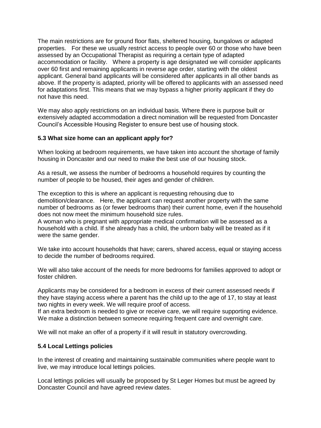The main restrictions are for ground floor flats, sheltered housing, bungalows or adapted properties. For these we usually restrict access to people over 60 or those who have been assessed by an Occupational Therapist as requiring a certain type of adapted accommodation or facility. Where a property is age designated we will consider applicants over 60 first and remaining applicants in reverse age order, starting with the oldest applicant. General band applicants will be considered after applicants in all other bands as above. If the property is adapted, priority will be offered to applicants with an assessed need for adaptations first. This means that we may bypass a higher priority applicant if they do not have this need.

We may also apply restrictions on an individual basis. Where there is purpose built or extensively adapted accommodation a direct nomination will be requested from Doncaster Council's Accessible Housing Register to ensure best use of housing stock.

#### **5.3 What size home can an applicant apply for?**

When looking at bedroom requirements, we have taken into account the shortage of family housing in Doncaster and our need to make the best use of our housing stock.

As a result, we assess the number of bedrooms a household requires by counting the number of people to be housed, their ages and gender of children.

The exception to this is where an applicant is requesting rehousing due to demolition/clearance. Here, the applicant can request another property with the same number of bedrooms as (or fewer bedrooms than) their current home, even if the household does not now meet the minimum household size rules.

A woman who is pregnant with appropriate medical confirmation will be assessed as a household with a child. If she already has a child, the unborn baby will be treated as if it were the same gender.

We take into account households that have; carers, shared access, equal or staying access to decide the number of bedrooms required.

We will also take account of the needs for more bedrooms for families approved to adopt or foster children.

Applicants may be considered for a bedroom in excess of their current assessed needs if they have staying access where a parent has the child up to the age of 17, to stay at least two nights in every week. We will require proof of access.

If an extra bedroom is needed to give or receive care, we will require supporting evidence. We make a distinction between someone requiring frequent care and overnight care.

We will not make an offer of a property if it will result in statutory overcrowding.

#### **5.4 Local Lettings policies**

In the interest of creating and maintaining sustainable communities where people want to live, we may introduce local lettings policies.

Local lettings policies will usually be proposed by St Leger Homes but must be agreed by Doncaster Council and have agreed review dates.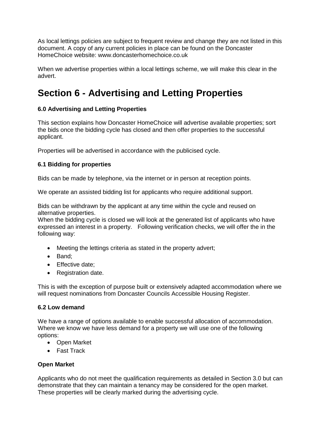As local lettings policies are subject to frequent review and change they are not listed in this document. A copy of any current policies in place can be found on the Doncaster HomeChoice website: www.doncasterhomechoice.co.uk

When we advertise properties within a local lettings scheme, we will make this clear in the advert.

# **Section 6 - Advertising and Letting Properties**

# **6.0 Advertising and Letting Properties**

This section explains how Doncaster HomeChoice will advertise available properties; sort the bids once the bidding cycle has closed and then offer properties to the successful applicant.

Properties will be advertised in accordance with the publicised cycle.

# **6.1 Bidding for properties**

Bids can be made by telephone, via the internet or in person at reception points.

We operate an assisted bidding list for applicants who require additional support.

Bids can be withdrawn by the applicant at any time within the cycle and reused on alternative properties.

When the bidding cycle is closed we will look at the generated list of applicants who have expressed an interest in a property. Following verification checks, we will offer the in the following way:

- Meeting the lettings criteria as stated in the property advert;
- Band:
- Effective date:
- Registration date.

This is with the exception of purpose built or extensively adapted accommodation where we will request nominations from Doncaster Councils Accessible Housing Register.

## **6.2 Low demand**

We have a range of options available to enable successful allocation of accommodation. Where we know we have less demand for a property we will use one of the following options:

- Open Market
- Fast Track

# **Open Market**

Applicants who do not meet the qualification requirements as detailed in Section 3.0 but can demonstrate that they can maintain a tenancy may be considered for the open market. These properties will be clearly marked during the advertising cycle.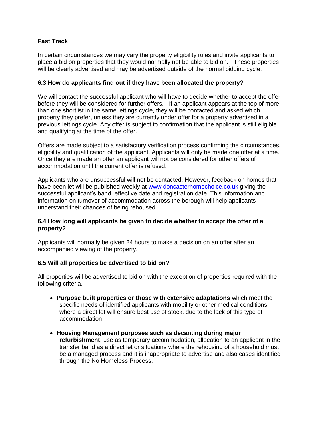# **Fast Track**

In certain circumstances we may vary the property eligibility rules and invite applicants to place a bid on properties that they would normally not be able to bid on. These properties will be clearly advertised and may be advertised outside of the normal bidding cycle.

## **6.3 How do applicants find out if they have been allocated the property?**

We will contact the successful applicant who will have to decide whether to accept the offer before they will be considered for further offers. If an applicant appears at the top of more than one shortlist in the same lettings cycle, they will be contacted and asked which property they prefer, unless they are currently under offer for a property advertised in a previous lettings cycle. Any offer is subject to confirmation that the applicant is still eligible and qualifying at the time of the offer.

Offers are made subject to a satisfactory verification process confirming the circumstances, eligibility and qualification of the applicant. Applicants will only be made one offer at a time. Once they are made an offer an applicant will not be considered for other offers of accommodation until the current offer is refused.

Applicants who are unsuccessful will not be contacted. However, feedback on homes that have been let will be published weekly at [www.doncasterhomechoice.co.uk](http://www.doncasterhomechoice.co.uk/) giving the successful applicant's band, effective date and registration date. This information and information on turnover of accommodation across the borough will help applicants understand their chances of being rehoused.

## **6.4 How long will applicants be given to decide whether to accept the offer of a property?**

Applicants will normally be given 24 hours to make a decision on an offer after an accompanied viewing of the property.

## **6.5 Will all properties be advertised to bid on?**

All properties will be advertised to bid on with the exception of properties required with the following criteria.

- **Purpose built properties or those with extensive adaptations** which meet the specific needs of identified applicants with mobility or other medical conditions where a direct let will ensure best use of stock, due to the lack of this type of accommodation
- **Housing Management purposes such as decanting during major refurbishment**, use as temporary accommodation, allocation to an applicant in the transfer band as a direct let or situations where the rehousing of a household must be a managed process and it is inappropriate to advertise and also cases identified through the No Homeless Process.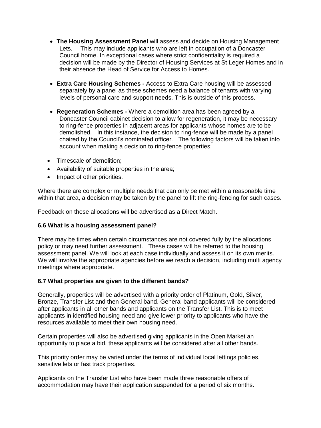- **The Housing Assessment Panel** will assess and decide on Housing Management Lets. This may include applicants who are left in occupation of a Doncaster Council home. In exceptional cases where strict confidentiality is required a decision will be made by the Director of Housing Services at St Leger Homes and in their absence the Head of Service for Access to Homes.
- **Extra Care Housing Schemes -** Access to Extra Care housing will be assessed separately by a panel as these schemes need a balance of tenants with varying levels of personal care and support needs. This is outside of this process.
- **Regeneration Schemes -** Where a demolition area has been agreed by a Doncaster Council cabinet decision to allow for regeneration, it may be necessary to ring-fence properties in adjacent areas for applicants whose homes are to be demolished. In this instance, the decision to ring-fence will be made by a panel chaired by the Council's nominated officer. The following factors will be taken into account when making a decision to ring-fence properties:
- Timescale of demolition;
- Availability of suitable properties in the area;
- Impact of other priorities.

Where there are complex or multiple needs that can only be met within a reasonable time within that area, a decision may be taken by the panel to lift the ring-fencing for such cases.

Feedback on these allocations will be advertised as a Direct Match.

## **6.6 What is a housing assessment panel?**

There may be times when certain circumstances are not covered fully by the allocations policy or may need further assessment. These cases will be referred to the housing assessment panel. We will look at each case individually and assess it on its own merits. We will involve the appropriate agencies before we reach a decision, including multi agency meetings where appropriate.

## **6.7 What properties are given to the different bands?**

Generally, properties will be advertised with a priority order of Platinum, Gold, Silver, Bronze, Transfer List and then General band. General band applicants will be considered after applicants in all other bands and applicants on the Transfer List. This is to meet applicants in identified housing need and give lower priority to applicants who have the resources available to meet their own housing need.

Certain properties will also be advertised giving applicants in the Open Market an opportunity to place a bid, these applicants will be considered after all other bands.

This priority order may be varied under the terms of individual local lettings policies, sensitive lets or fast track properties.

Applicants on the Transfer List who have been made three reasonable offers of accommodation may have their application suspended for a period of six months.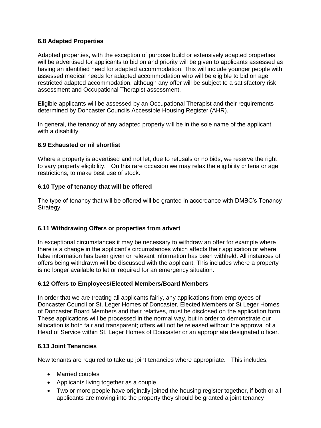## **6.8 Adapted Properties**

Adapted properties, with the exception of purpose build or extensively adapted properties will be advertised for applicants to bid on and priority will be given to applicants assessed as having an identified need for adapted accommodation. This will include younger people with assessed medical needs for adapted accommodation who will be eligible to bid on age restricted adapted accommodation, although any offer will be subject to a satisfactory risk assessment and Occupational Therapist assessment.

Eligible applicants will be assessed by an Occupational Therapist and their requirements determined by Doncaster Councils Accessible Housing Register (AHR).

In general, the tenancy of any adapted property will be in the sole name of the applicant with a disability.

## **6.9 Exhausted or nil shortlist**

Where a property is advertised and not let, due to refusals or no bids, we reserve the right to vary property eligibility. On this rare occasion we may relax the eligibility criteria or age restrictions, to make best use of stock.

## **6.10 Type of tenancy that will be offered**

The type of tenancy that will be offered will be granted in accordance with DMBC's Tenancy Strategy.

# **6.11 Withdrawing Offers or properties from advert**

In exceptional circumstances it may be necessary to withdraw an offer for example where there is a change in the applicant's circumstances which affects their application or where false information has been given or relevant information has been withheld. All instances of offers being withdrawn will be discussed with the applicant. This includes where a property is no longer available to let or required for an emergency situation.

## **6.12 Offers to Employees/Elected Members/Board Members**

In order that we are treating all applicants fairly, any applications from employees of Doncaster Council or St. Leger Homes of Doncaster, Elected Members or St Leger Homes of Doncaster Board Members and their relatives, must be disclosed on the application form. These applications will be processed in the normal way, but in order to demonstrate our allocation is both fair and transparent; offers will not be released without the approval of a Head of Service within St. Leger Homes of Doncaster or an appropriate designated officer.

## **6.13 Joint Tenancies**

New tenants are required to take up joint tenancies where appropriate. This includes;

- Married couples
- Applicants living together as a couple
- Two or more people have originally joined the housing register together, if both or all applicants are moving into the property they should be granted a joint tenancy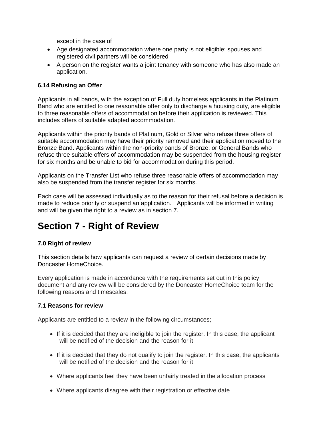except in the case of

- Age designated accommodation where one party is not eligible; spouses and registered civil partners will be considered
- A person on the register wants a joint tenancy with someone who has also made an application.

## **6.14 Refusing an Offer**

Applicants in all bands, with the exception of Full duty homeless applicants in the Platinum Band who are entitled to one reasonable offer only to discharge a housing duty, are eligible to three reasonable offers of accommodation before their application is reviewed. This includes offers of suitable adapted accommodation.

Applicants within the priority bands of Platinum, Gold or Silver who refuse three offers of suitable accommodation may have their priority removed and their application moved to the Bronze Band. Applicants within the non-priority bands of Bronze, or General Bands who refuse three suitable offers of accommodation may be suspended from the housing register for six months and be unable to bid for accommodation during this period.

Applicants on the Transfer List who refuse three reasonable offers of accommodation may also be suspended from the transfer register for six months.

Each case will be assessed individually as to the reason for their refusal before a decision is made to reduce priority or suspend an application. Applicants will be informed in writing and will be given the right to a review as in section 7.

# **Section 7 - Right of Review**

# **7.0 Right of review**

This section details how applicants can request a review of certain decisions made by Doncaster HomeChoice.

Every application is made in accordance with the requirements set out in this policy document and any review will be considered by the Doncaster HomeChoice team for the following reasons and timescales.

## **7.1 Reasons for review**

Applicants are entitled to a review in the following circumstances;

- If it is decided that they are ineligible to join the register. In this case, the applicant will be notified of the decision and the reason for it
- If it is decided that they do not qualify to join the register. In this case, the applicants will be notified of the decision and the reason for it
- Where applicants feel they have been unfairly treated in the allocation process
- Where applicants disagree with their registration or effective date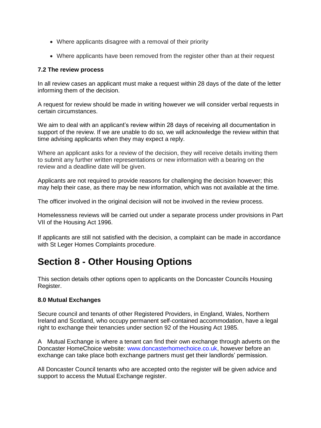- Where applicants disagree with a removal of their priority
- Where applicants have been removed from the register other than at their request

## **7.2 The review process**

In all review cases an applicant must make a request within 28 days of the date of the letter informing them of the decision.

A request for review should be made in writing however we will consider verbal requests in certain circumstances.

We aim to deal with an applicant's review within 28 days of receiving all documentation in support of the review. If we are unable to do so, we will acknowledge the review within that time advising applicants when they may expect a reply.

Where an applicant asks for a review of the decision, they will receive details inviting them to submit any further written representations or new information with a bearing on the review and a deadline date will be given.

Applicants are not required to provide reasons for challenging the decision however; this may help their case, as there may be new information, which was not available at the time.

The officer involved in the original decision will not be involved in the review process.

Homelessness reviews will be carried out under a separate process under provisions in Part VII of the Housing Act 1996.

If applicants are still not satisfied with the decision, a complaint can be made in accordance with St Leger Homes Complaints procedure.

# **Section 8 - Other Housing Options**

This section details other options open to applicants on the Doncaster Councils Housing Register.

## **8.0 Mutual Exchanges**

Secure council and tenants of other Registered Providers, in England, Wales, Northern Ireland and Scotland, who occupy permanent self-contained accommodation, have a legal right to exchange their tenancies under section 92 of the Housing Act 1985.

A Mutual Exchange is where a tenant can find their own exchange through adverts on the Doncaster HomeChoice website: [www.doncasterhomechoice.co.uk,](http://www.doncasterhomechoice.co.uk/) however before an exchange can take place both exchange partners must get their landlords' permission.

All Doncaster Council tenants who are accepted onto the register will be given advice and support to access the Mutual Exchange register.